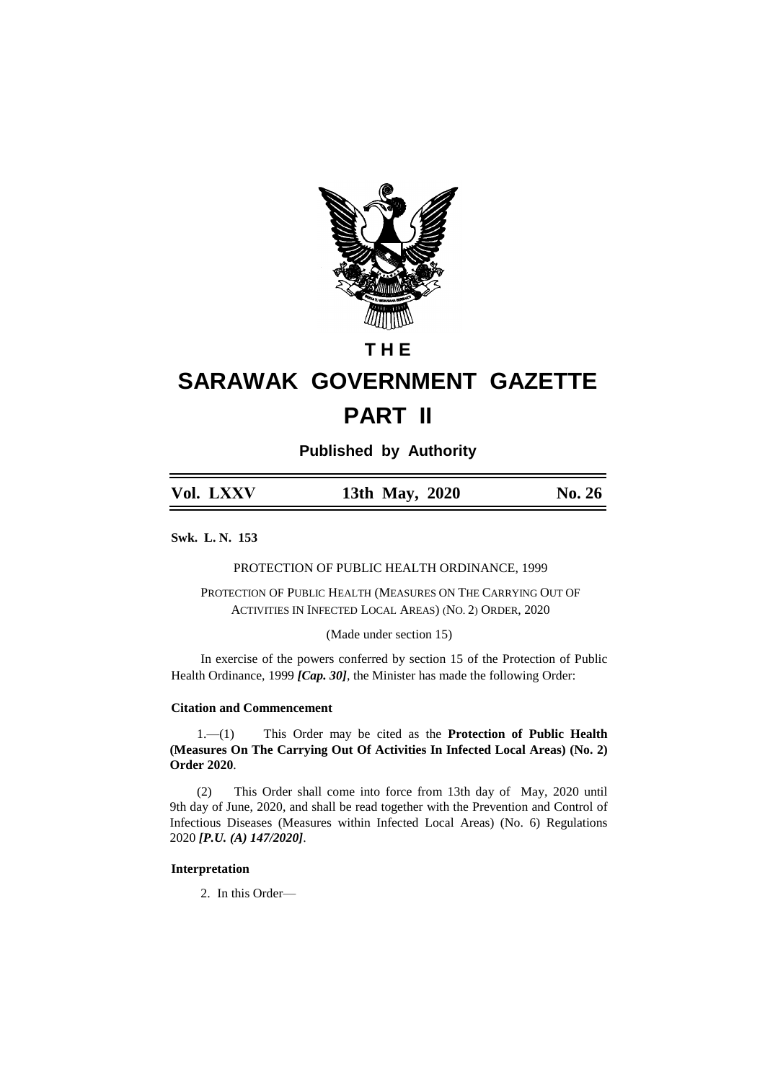

# **T H E**

# **SARAWAK GOVERNMENT GAZETTE PART II**

**Published by Authority**

| Vol. LXXV | 13th May, 2020 | No. 26 |
|-----------|----------------|--------|
|           |                |        |

**Swk. L. N. 153**

PROTECTION OF PUBLIC HEALTH ORDINANCE, 1999

PROTECTION OF PUBLIC HEALTH (MEASURES ON THE CARRYING OUT OF ACTIVITIES IN INFECTED LOCAL AREAS) (NO. 2) ORDER, 2020

(Made under section 15)

In exercise of the powers conferred by section 15 of the Protection of Public Health Ordinance, 1999 *[Cap. 30]*, the Minister has made the following Order:

#### **Citation and Commencement**

1.—(1) This Order may be cited as the **Protection of Public Health (Measures On The Carrying Out Of Activities In Infected Local Areas) (No. 2) Order 2020**.

(2) This Order shall come into force from 13th day of May, 2020 until 9th day of June, 2020, and shall be read together with the Prevention and Control of Infectious Diseases (Measures within Infected Local Areas) (No. 6) Regulations 2020 *[P.U. (A) 147/2020]*.

# **Interpretation**

2. In this Order—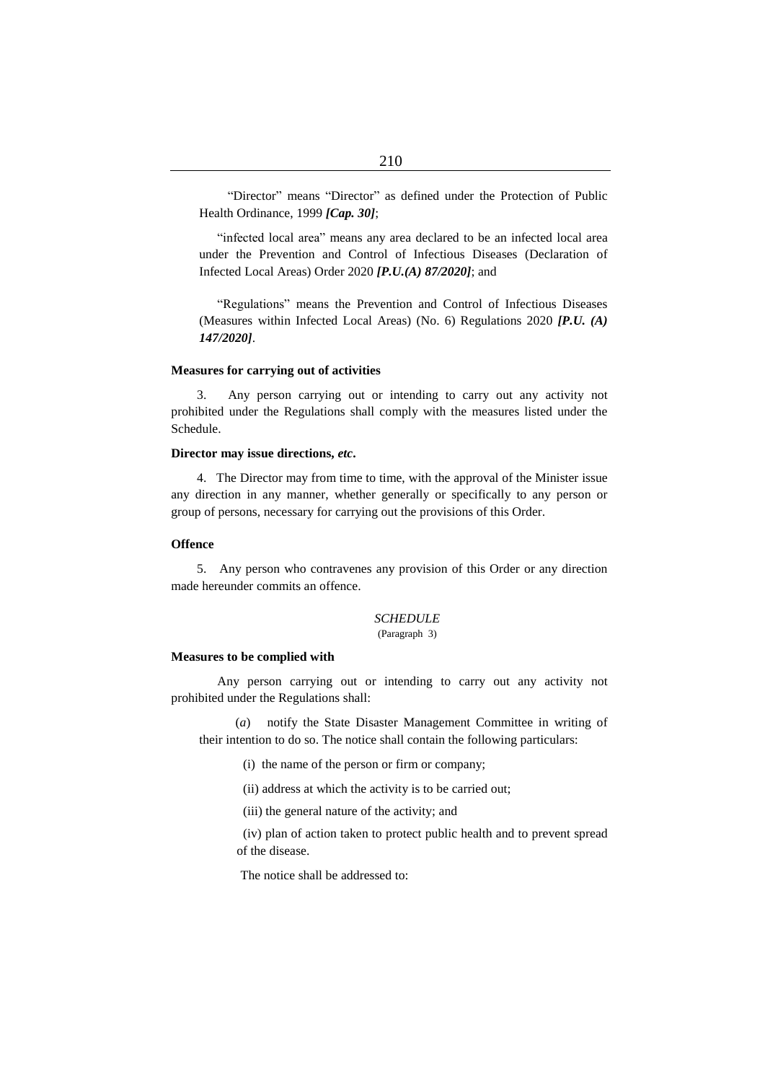"Director" means "Director" as defined under the Protection of Public Health Ordinance, 1999 *[Cap. 30]*;

"infected local area" means any area declared to be an infected local area under the Prevention and Control of Infectious Diseases (Declaration of Infected Local Areas) Order 2020 *[P.U.(A) 87/2020]*; and

"Regulations" means the Prevention and Control of Infectious Diseases (Measures within Infected Local Areas) (No. 6) Regulations 2020 *[P.U. (A) 147/2020]*.

#### **Measures for carrying out of activities**

3. Any person carrying out or intending to carry out any activity not prohibited under the Regulations shall comply with the measures listed under the Schedule.

#### **Director may issue directions,** *etc***.**

4. The Director may from time to time, with the approval of the Minister issue any direction in any manner, whether generally or specifically to any person or group of persons, necessary for carrying out the provisions of this Order.

### **Offence**

5. Any person who contravenes any provision of this Order or any direction made hereunder commits an offence.

# *SCHEDULE*

(Paragraph 3)

#### **Measures to be complied with**

 Any person carrying out or intending to carry out any activity not prohibited under the Regulations shall:

(*a*) notify the State Disaster Management Committee in writing of their intention to do so. The notice shall contain the following particulars:

(i) the name of the person or firm or company;

(ii) address at which the activity is to be carried out;

(iii) the general nature of the activity; and

(iv) plan of action taken to protect public health and to prevent spread of the disease.

The notice shall be addressed to: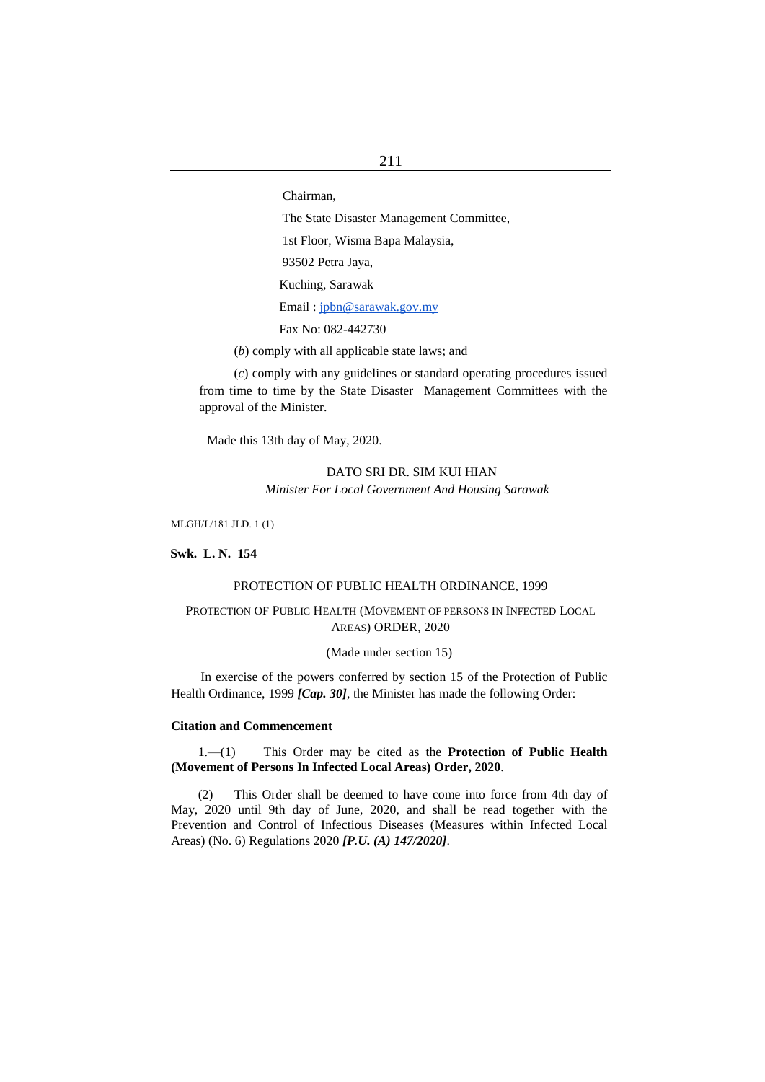Chairman,

The State Disaster Management Committee,

1st Floor, Wisma Bapa Malaysia,

93502 Petra Jaya,

Kuching, Sarawak

Email : [jpbn@sarawak.gov.my](mailto:jpbn@sarawak.gov.my)

Fax No: 082-442730

(*b*) comply with all applicable state laws; and

(*c*) comply with any guidelines or standard operating procedures issued from time to time by the State Disaster Management Committees with the approval of the Minister.

Made this 13th day of May, 2020.

# DATO SRI DR. SIM KUI HIAN *Minister For Local Government And Housing Sarawak*

MLGH/L/181 JLD. 1 (1)

**Swk. L. N. 154**

#### PROTECTION OF PUBLIC HEALTH ORDINANCE, 1999

# PROTECTION OF PUBLIC HEALTH (MOVEMENT OF PERSONS IN INFECTED LOCAL AREAS) ORDER, 2020

(Made under section 15)

In exercise of the powers conferred by section 15 of the Protection of Public Health Ordinance, 1999 *[Cap. 30]*, the Minister has made the following Order:

## **Citation and Commencement**

1.—(1) This Order may be cited as the **Protection of Public Health (Movement of Persons In Infected Local Areas) Order, 2020**.

(2) This Order shall be deemed to have come into force from 4th day of May, 2020 until 9th day of June, 2020, and shall be read together with the Prevention and Control of Infectious Diseases (Measures within Infected Local Areas) (No. 6) Regulations 2020 *[P.U. (A) 147/2020]*.